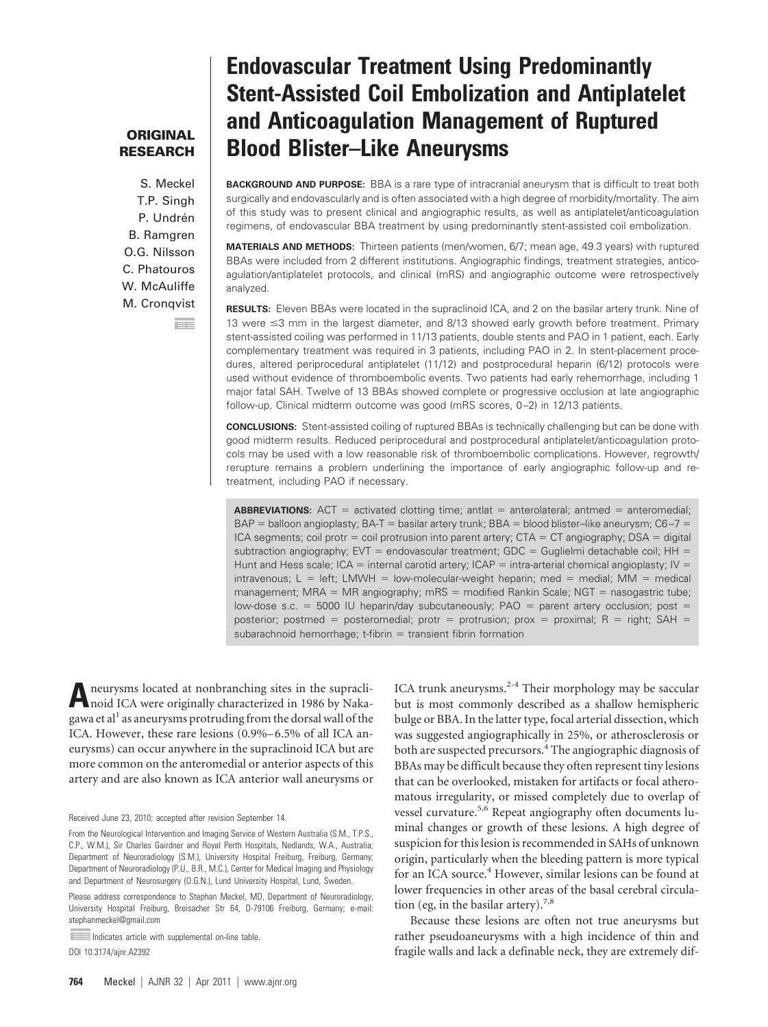## **ORIGINAL RESEARCH**

S. Meckel T.P. Singh P. Undrén B. Ramgren O.G. Nilsson C. Phatouros W. McAuliffe M. Cronqvist

E.

# **Endovascular Treatment Using Predominantly Stent-Assisted Coil Embolization and Antiplatelet and Anticoagulation Management of Ruptured Blood Blister–Like Aneurysms**

**BACKGROUND AND PURPOSE:** BBA is a rare type of intracranial aneurysm that is difficult to treat both surgically and endovascularly and is often associated with a high degree of morbidity/mortality. The aim of this study was to present clinical and angiographic results, as well as antiplatelet/anticoagulation regimens, of endovascular BBA treatment by using predominantly stent-assisted coil embolization.

**MATERIALS AND METHODS:** Thirteen patients (men/women, 6/7; mean age, 49.3 years) with ruptured BBAs were included from 2 different institutions. Angiographic findings, treatment strategies, anticoagulation/antiplatelet protocols, and clinical (mRS) and angiographic outcome were retrospectively analyzed.

**RESULTS:** Eleven BBAs were located in the supraclinoid ICA, and 2 on the basilar artery trunk. Nine of 13 were  $\leq$ 3 mm in the largest diameter, and 8/13 showed early growth before treatment. Primary stent-assisted coiling was performed in 11/13 patients, double stents and PAO in 1 patient, each. Early complementary treatment was required in 3 patients, including PAO in 2. In stent-placement procedures, altered periprocedural antiplatelet (11/12) and postprocedural heparin (6/12) protocols were used without evidence of thromboembolic events. Two patients had early rehemorrhage, including 1 major fatal SAH. Twelve of 13 BBAs showed complete or progressive occlusion at late angiographic follow-up. Clinical midterm outcome was good (mRS scores, 0-2) in 12/13 patients.

**CONCLUSIONS:** Stent-assisted coiling of ruptured BBAs is technically challenging but can be done with good midterm results. Reduced periprocedural and postprocedural antiplatelet/anticoagulation protocols may be used with a low reasonable risk of thromboembolic complications. However, regrowth/ rerupture remains a problem underlining the importance of early angiographic follow-up and retreatment, including PAO if necessary.

**ABBREVIATIONS:**  $ACT =$  activated clotting time; antlat  $=$  anterolateral; antmed  $=$  anteromedial;  $BAP =$  balloon angioplasty; BA-T = basilar artery trunk; BBA = blood blister–like aneurysm; C6-7 = ICA segments; coil protr  $=$  coil protrusion into parent artery; CTA  $=$  CT angiography; DSA  $=$  digital subtraction angiography;  $EVT =$  endovascular treatment;  $GDC =$  Guglielmi detachable coil;  $HH =$ Hunt and Hess scale; ICA = internal carotid artery; ICAP = intra-arterial chemical angioplasty; IV = intravenous;  $L = left$ ; LMWH = low-molecular-weight heparin; med = medial; MM = medical management; MRA = MR angiography; mRS = modified Rankin Scale; NGT = nasogastric tube; low-dose s.c.  $=$  5000 IU heparin/day subcutaneously; PAO  $=$  parent artery occlusion; post  $=$ posterior; postmed = posteromedial; protr = protrusion; prox = proximal; R = right; SAH = subarachnoid hemorrhage;  $t$ -fibrin = transient fibrin formation

**A**neurysms located at nonbranching sites in the supracli-noid ICA were originally characterized in 1986 by Nakagawa et al<sup>1</sup> as aneurysms protruding from the dorsal wall of the ICA. However, these rare lesions (0.9%–6.5% of all ICA aneurysms) can occur anywhere in the supraclinoid ICA but are more common on the anteromedial or anterior aspects of this artery and are also known as ICA anterior wall aneurysms or

Received June 23, 2010; accepted after revision September 14.

Please address correspondence to Stephan Meckel, MD, Department of Neuroradiology, University Hospital Freiburg, Breisacher Str 64, D-79106 Freiburg, Germany; e-mail: stephanmeckel@gmail.com

Indicates article with supplemental on-line table.

DOI 10.3174/ajnr.A2392

ICA trunk aneurysms. $2-4$  Their morphology may be saccular but is most commonly described as a shallow hemispheric bulge or BBA. In the latter type, focal arterial dissection, which was suggested angiographically in 25%, or atherosclerosis or both are suspected precursors.<sup>4</sup> The angiographic diagnosis of BBAs may be difficult because they often represent tiny lesions that can be overlooked, mistaken for artifacts or focal atheromatous irregularity, or missed completely due to overlap of vessel curvature.<sup>5,6</sup> Repeat angiography often documents luminal changes or growth of these lesions. A high degree of suspicion for this lesion is recommended in SAHs of unknown origin, particularly when the bleeding pattern is more typical for an ICA source.<sup>4</sup> However, similar lesions can be found at lower frequencies in other areas of the basal cerebral circulation (eg, in the basilar artery).<sup>7,8</sup>

Because these lesions are often not true aneurysms but rather pseudoaneurysms with a high incidence of thin and fragile walls and lack a definable neck, they are extremely dif-

From the Neurological Intervention and Imaging Service of Western Australia (S.M., T.P.S., C.P., W.M.), Sir Charles Gairdner and Royal Perth Hospitals, Nedlands, W.A., Australia; Department of Neuroradiology (S.M.), University Hospital Freiburg, Freiburg, Germany; Department of Neuroradiology (P.U., B.R., M.C.), Center for Medical Imaging and Physiology and Department of Neurosurgery (O.G.N.), Lund University Hospital, Lund, Sweden.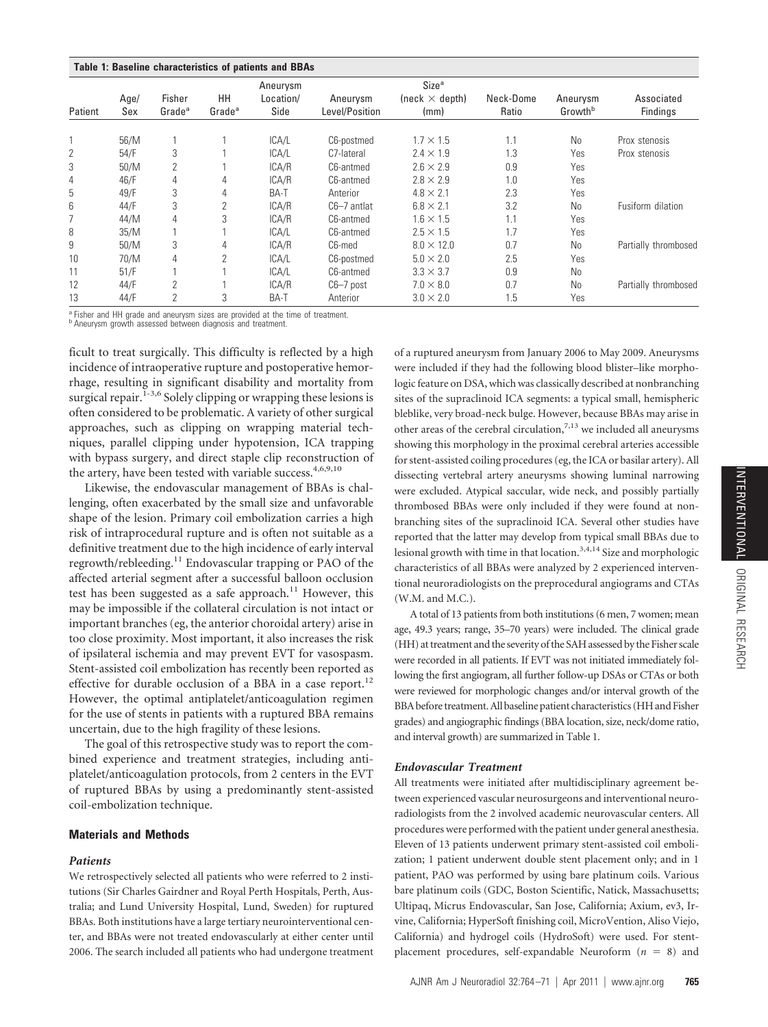|         |      |                    |                    | Aneurysm  |                | Size <sup>a</sup>     |           |                     |                      |
|---------|------|--------------------|--------------------|-----------|----------------|-----------------------|-----------|---------------------|----------------------|
|         | Age/ | Fisher             | HH                 | Location/ | Aneurysm       | (neck $\times$ depth) | Neck-Dome | Aneurysm            | Associated           |
| Patient | Sex  | Grade <sup>a</sup> | Grade <sup>a</sup> | Side      | Level/Position | (mm)                  | Ratio     | Growth <sup>b</sup> | Findings             |
|         |      |                    |                    |           |                |                       |           |                     |                      |
|         | 56/M |                    |                    | ICA/L     | C6-postmed     | $1.7 \times 1.5$      | 1.1       | No                  | Prox stenosis        |
| 2       | 54/F | 3                  |                    | ICA/L     | C7-lateral     | $2.4 \times 1.9$      | 1.3       | Yes                 | Prox stenosis        |
| 3       | 50/M | 2                  |                    | ICA/R     | C6-antmed      | $2.6 \times 2.9$      | 0.9       | Yes                 |                      |
| 4       | 46/F | 4                  | 4                  | ICA/R     | C6-antmed      | $2.8 \times 2.9$      | 1.0       | Yes                 |                      |
| 5       | 49/F | 3                  | 4                  | BA-T      | Anterior       | $4.8 \times 2.1$      | 2.3       | Yes                 |                      |
| 6       | 44/F | 3                  | 2                  | ICA/R     | C6-7 antlat    | $6.8 \times 2.1$      | 3.2       | No                  | Fusiform dilation    |
|         | 44/M | 4                  | 3                  | ICA/R     | C6-antmed      | $1.6 \times 1.5$      | 1.1       | Yes                 |                      |
| 8       | 35/M | 1                  |                    | ICA/L     | C6-antmed      | $2.5 \times 1.5$      | 1.7       | Yes                 |                      |
| 9       | 50/M | 3                  | 4                  | ICA/R     | C6-med         | $8.0 \times 12.0$     | 0.7       | No                  | Partially thrombosed |
| 10      | 70/M | 4                  | 2                  | ICA/L     | C6-postmed     | $5.0 \times 2.0$      | 2.5       | Yes                 |                      |
|         | 51/F | 1                  |                    | ICA/L     | C6-antmed      | $3.3 \times 3.7$      | 0.9       | No                  |                      |
| 12      | 44/F | 2                  |                    | ICA/R     | $C6-7$ post    | $7.0 \times 8.0$      | 0.7       | No                  | Partially thrombosed |
| 13      | 44/F | 2                  | 3                  | BA-T      | Anterior       | $3.0 \times 2.0$      | 1.5       | Yes                 |                      |

<sup>a</sup> Fisher and HH grade and aneurysm sizes are provided at the time of treatment.

**b Aneurysm growth assessed between diagnosis and treatment.** 

ficult to treat surgically. This difficulty is reflected by a high incidence of intraoperative rupture and postoperative hemorrhage, resulting in significant disability and mortality from surgical repair.<sup>1-3,6</sup> Solely clipping or wrapping these lesions is often considered to be problematic. A variety of other surgical approaches, such as clipping on wrapping material techniques, parallel clipping under hypotension, ICA trapping with bypass surgery, and direct staple clip reconstruction of the artery, have been tested with variable success.<sup>4,6,9,10</sup>

Likewise, the endovascular management of BBAs is challenging, often exacerbated by the small size and unfavorable shape of the lesion. Primary coil embolization carries a high risk of intraprocedural rupture and is often not suitable as a definitive treatment due to the high incidence of early interval regrowth/rebleeding.<sup>11</sup> Endovascular trapping or PAO of the affected arterial segment after a successful balloon occlusion test has been suggested as a safe approach.<sup>11</sup> However, this may be impossible if the collateral circulation is not intact or important branches (eg, the anterior choroidal artery) arise in too close proximity. Most important, it also increases the risk of ipsilateral ischemia and may prevent EVT for vasospasm. Stent-assisted coil embolization has recently been reported as effective for durable occlusion of a BBA in a case report.<sup>12</sup> However, the optimal antiplatelet/anticoagulation regimen for the use of stents in patients with a ruptured BBA remains uncertain, due to the high fragility of these lesions.

The goal of this retrospective study was to report the combined experience and treatment strategies, including antiplatelet/anticoagulation protocols, from 2 centers in the EVT of ruptured BBAs by using a predominantly stent-assisted coil-embolization technique.

#### **Materials and Methods**

#### *Patients*

We retrospectively selected all patients who were referred to 2 institutions (Sir Charles Gairdner and Royal Perth Hospitals, Perth, Australia; and Lund University Hospital, Lund, Sweden) for ruptured BBAs. Both institutions have a large tertiary neurointerventional center, and BBAs were not treated endovascularly at either center until 2006. The search included all patients who had undergone treatment of a ruptured aneurysm from January 2006 to May 2009. Aneurysms were included if they had the following blood blister–like morphologic feature on DSA, which was classically described at nonbranching sites of the supraclinoid ICA segments: a typical small, hemispheric bleblike, very broad-neck bulge. However, because BBAs may arise in other areas of the cerebral circulation, $7,13$  we included all aneurysms showing this morphology in the proximal cerebral arteries accessible for stent-assisted coiling procedures (eg, the ICA or basilar artery). All dissecting vertebral artery aneurysms showing luminal narrowing were excluded. Atypical saccular, wide neck, and possibly partially thrombosed BBAs were only included if they were found at nonbranching sites of the supraclinoid ICA. Several other studies have reported that the latter may develop from typical small BBAs due to lesional growth with time in that location.<sup>3,4,14</sup> Size and morphologic characteristics of all BBAs were analyzed by 2 experienced interventional neuroradiologists on the preprocedural angiograms and CTAs (W.M. and M.C.).

A total of 13 patients from both institutions (6 men, 7 women; mean age, 49.3 years; range, 35–70 years) were included. The clinical grade (HH) at treatment and the severity of the SAH assessed by the Fisher scale were recorded in all patients. If EVT was not initiated immediately following the first angiogram, all further follow-up DSAs or CTAs or both were reviewed for morphologic changes and/or interval growth of the BBA before treatment.All baseline patient characteristics (HH and Fisher grades) and angiographic findings (BBA location, size, neck/dome ratio, and interval growth) are summarized in Table 1.

#### *Endovascular Treatment*

All treatments were initiated after multidisciplinary agreement between experienced vascular neurosurgeons and interventional neuroradiologists from the 2 involved academic neurovascular centers. All procedures were performed with the patient under general anesthesia. Eleven of 13 patients underwent primary stent-assisted coil embolization; 1 patient underwent double stent placement only; and in 1 patient, PAO was performed by using bare platinum coils. Various bare platinum coils (GDC, Boston Scientific, Natick, Massachusetts; Ultipaq, Micrus Endovascular, San Jose, California; Axium, ev3, Irvine, California; HyperSoft finishing coil, MicroVention, Aliso Viejo, California) and hydrogel coils (HydroSoft) were used. For stentplacement procedures, self-expandable Neuroform  $(n = 8)$  and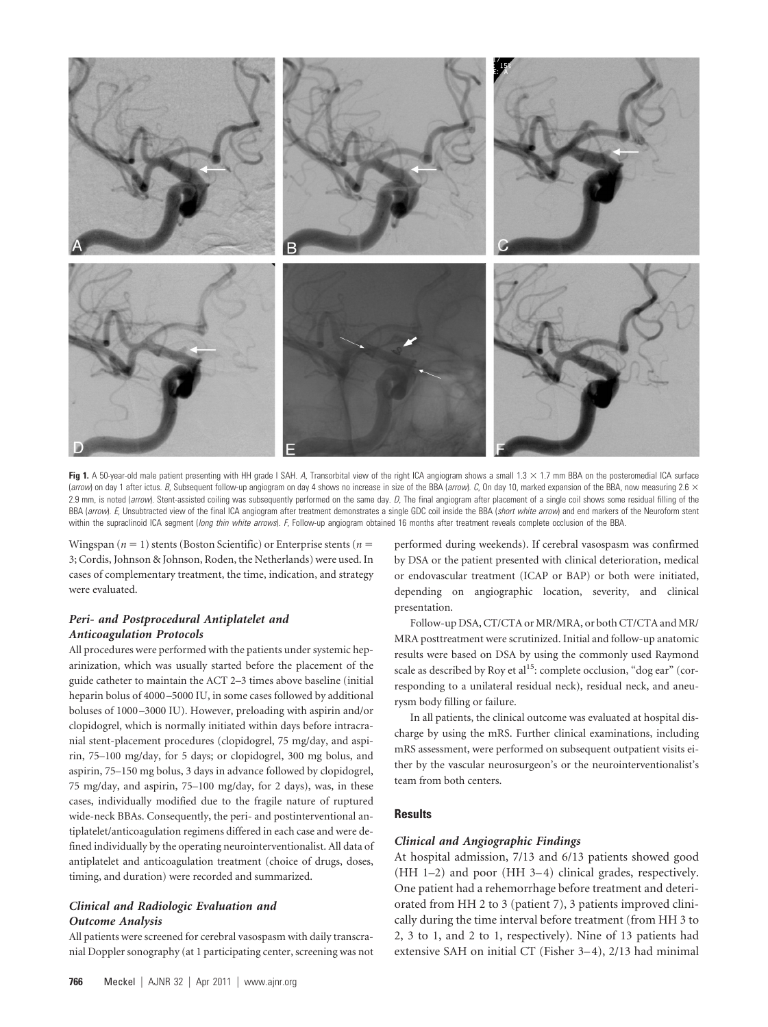

Fig 1. A 50-year-old male patient presenting with HH grade I SAH. A, Transorbital view of the right ICA angiogram shows a small 1.3  $\times$  1.7 mm BBA on the posteromedial ICA surface (*arrow*) on day 1 after ictus. *B*, Subsequent follow-up angiogram on day 4 shows no increase in size of the BBA (*arrow*). *C*, On day 10, marked expansion of the BBA, now measuring 2.6 - 2.9 mm, is noted (arrow). Stent-assisted coiling was subsequently performed on the same day. D, The final angiogram after placement of a single coil shows some residual filling of the BBA (arrow). E, Unsubtracted view of the final ICA angiogram after treatment demonstrates a single GDC coil inside the BBA (*short white arrow*) and end markers of the Neuroform stent within the supraclinoid ICA segment (*long thin white arrows*). *F*, Follow-up angiogram obtained 16 months after treatment reveals complete occlusion of the BBA.

Wingspan  $(n = 1)$  stents (Boston Scientific) or Enterprise stents  $(n = 1)$ 3; Cordis, Johnson & Johnson, Roden, the Netherlands) were used. In cases of complementary treatment, the time, indication, and strategy were evaluated.

## *Peri- and Postprocedural Antiplatelet and Anticoagulation Protocols*

All procedures were performed with the patients under systemic heparinization, which was usually started before the placement of the guide catheter to maintain the ACT 2–3 times above baseline (initial heparin bolus of 4000 –5000 IU, in some cases followed by additional boluses of 1000 –3000 IU). However, preloading with aspirin and/or clopidogrel, which is normally initiated within days before intracranial stent-placement procedures (clopidogrel, 75 mg/day, and aspirin, 75–100 mg/day, for 5 days; or clopidogrel, 300 mg bolus, and aspirin, 75–150 mg bolus, 3 days in advance followed by clopidogrel, 75 mg/day, and aspirin, 75–100 mg/day, for 2 days), was, in these cases, individually modified due to the fragile nature of ruptured wide-neck BBAs. Consequently, the peri- and postinterventional antiplatelet/anticoagulation regimens differed in each case and were defined individually by the operating neurointerventionalist. All data of antiplatelet and anticoagulation treatment (choice of drugs, doses, timing, and duration) were recorded and summarized.

## *Clinical and Radiologic Evaluation and Outcome Analysis*

All patients were screened for cerebral vasospasm with daily transcranial Doppler sonography (at 1 participating center, screening was not

**766** Meckel | AJNR 32 | Apr 2011 | www.ajnr.org

performed during weekends). If cerebral vasospasm was confirmed by DSA or the patient presented with clinical deterioration, medical or endovascular treatment (ICAP or BAP) or both were initiated, depending on angiographic location, severity, and clinical presentation.

Follow-up DSA, CT/CTA or MR/MRA, or both CT/CTA and MR/ MRA posttreatment were scrutinized. Initial and follow-up anatomic results were based on DSA by using the commonly used Raymond scale as described by Roy et al<sup>15</sup>: complete occlusion, "dog ear" (corresponding to a unilateral residual neck), residual neck, and aneurysm body filling or failure.

In all patients, the clinical outcome was evaluated at hospital discharge by using the mRS. Further clinical examinations, including mRS assessment, were performed on subsequent outpatient visits either by the vascular neurosurgeon's or the neurointerventionalist's team from both centers.

#### **Results**

#### *Clinical and Angiographic Findings*

At hospital admission, 7/13 and 6/13 patients showed good (HH 1–2) and poor (HH 3–4) clinical grades, respectively. One patient had a rehemorrhage before treatment and deteriorated from HH 2 to 3 (patient 7), 3 patients improved clinically during the time interval before treatment (from HH 3 to 2, 3 to 1, and 2 to 1, respectively). Nine of 13 patients had extensive SAH on initial CT (Fisher 3–4), 2/13 had minimal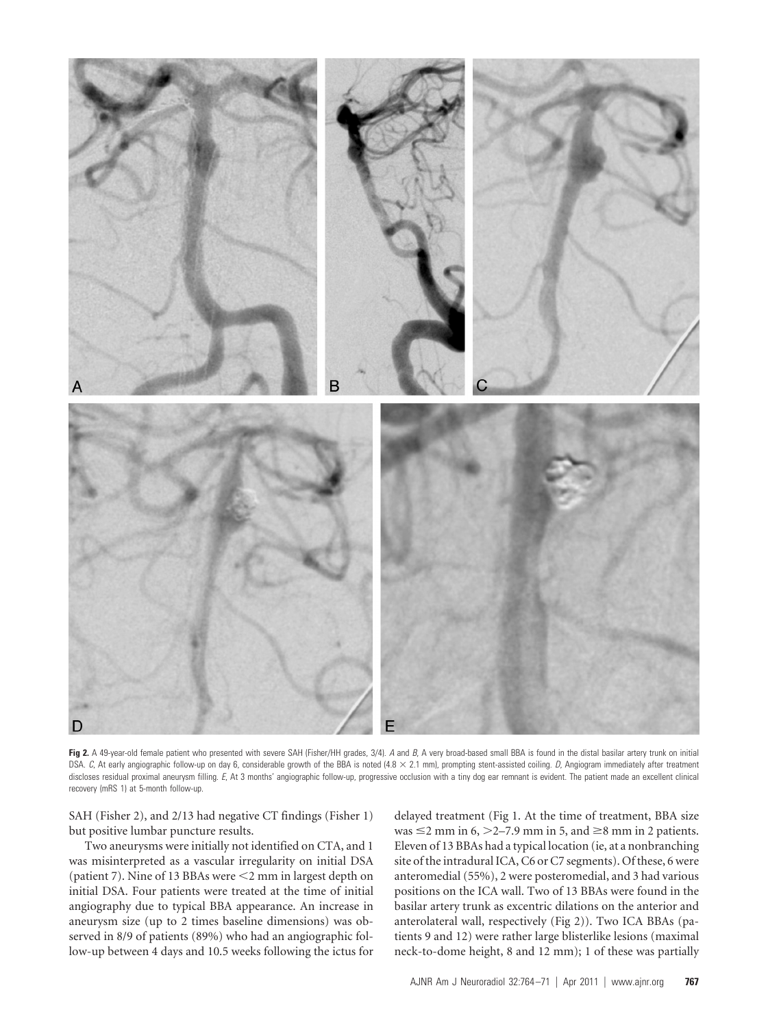

Fig 2. A 49-year-old female patient who presented with severe SAH (Fisher/HH grades, 3/4). A and *B*, A very broad-based small BBA is found in the distal basilar artery trunk on initial DSA. C, At early angiographic follow-up on day 6, considerable growth of the BBA is noted (4.8 × 2.1 mm), prompting stent-assisted coiling. *D*, Angiogram immediately after treatment discloses residual proximal aneurysm filling. *E*, At 3 months' angiographic follow-up, progressive occlusion with a tiny dog ear remnant is evident. The patient made an excellent clinical recovery (mRS 1) at 5-month follow-up.

SAH (Fisher 2), and 2/13 had negative CT findings (Fisher 1) but positive lumbar puncture results.

Two aneurysms were initially not identified on CTA, and 1 was misinterpreted as a vascular irregularity on initial DSA (patient 7). Nine of 13 BBAs were  $\leq$  2 mm in largest depth on initial DSA. Four patients were treated at the time of initial angiography due to typical BBA appearance. An increase in aneurysm size (up to 2 times baseline dimensions) was observed in 8/9 of patients (89%) who had an angiographic follow-up between 4 days and 10.5 weeks following the ictus for delayed treatment (Fig 1. At the time of treatment, BBA size was  $\leq$  2 mm in 6,  $>$  2–7.9 mm in 5, and  $\geq$ 8 mm in 2 patients. Eleven of 13 BBAs had a typical location (ie, at a nonbranching site of the intradural ICA, C6 or C7 segments). Of these, 6 were anteromedial (55%), 2 were posteromedial, and 3 had various positions on the ICA wall. Two of 13 BBAs were found in the basilar artery trunk as excentric dilations on the anterior and anterolateral wall, respectively (Fig 2)). Two ICA BBAs (patients 9 and 12) were rather large blisterlike lesions (maximal neck-to-dome height, 8 and 12 mm); 1 of these was partially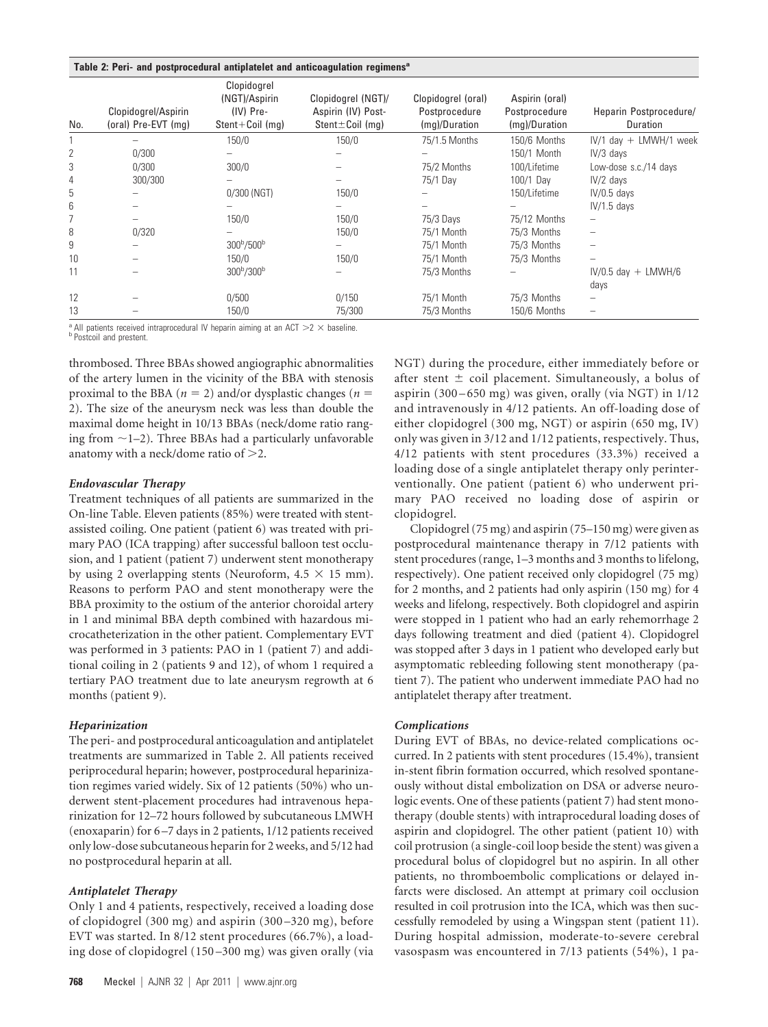| Table 2: Peri- and postprocedural antiplatelet and anticoagulation regimens <sup>a</sup> |  |  |
|------------------------------------------------------------------------------------------|--|--|
|                                                                                          |  |  |

| No. | Clopidogrel/Aspirin<br>(oral) Pre-EVT (mg) | Clopidogrel<br>(NGT)/Aspirin<br>(IV) Pre-<br>$Stent+Coil$ (mg) | Clopidogrel (NGT)/<br>Aspirin (IV) Post-<br>Stent $\pm$ Coil (mq) | Clopidogrel (oral)<br>Postprocedure<br>(mg)/Duration | Aspirin (oral)<br>Postprocedure<br>(mg)/Duration | Heparin Postprocedure/<br>Duration |
|-----|--------------------------------------------|----------------------------------------------------------------|-------------------------------------------------------------------|------------------------------------------------------|--------------------------------------------------|------------------------------------|
|     |                                            | 150/0                                                          | 150/0                                                             | 75/1.5 Months                                        | 150/6 Months                                     | $IV/1$ day $+$ LMWH/1 week         |
| 2   | 0/300                                      |                                                                |                                                                   |                                                      | 150/1 Month                                      | $IV/3$ days                        |
| 3   | 0/300                                      | 300/0                                                          |                                                                   | 75/2 Months                                          | 100/Lifetime                                     | Low-dose s.c./14 days              |
| 4   | 300/300                                    |                                                                |                                                                   | 75/1 Day                                             | 100/1 Day                                        | $IV/2$ days                        |
| 5   |                                            | 0/300 (NGT)                                                    | 150/0                                                             |                                                      | 150/Lifetime                                     | $IV/0.5$ days                      |
| 6   |                                            |                                                                |                                                                   |                                                      |                                                  | $IV/1.5$ days                      |
|     |                                            | 150/0                                                          | 150/0                                                             | 75/3 Days                                            | 75/12 Months                                     |                                    |
| 8   | 0/320                                      |                                                                | 150/0                                                             | 75/1 Month                                           | 75/3 Months                                      |                                    |
| 9   |                                            | $300^{\rm b}/500^{\rm b}$                                      |                                                                   | 75/1 Month                                           | 75/3 Months                                      |                                    |
| 10  |                                            | 150/0                                                          | 150/0                                                             | 75/1 Month                                           | 75/3 Months                                      |                                    |
| 11  |                                            | $300^{\rm b}/300^{\rm b}$                                      |                                                                   | 75/3 Months                                          |                                                  | $IV/0.5$ day $+$ LMWH/6<br>days    |
| 12  |                                            | 0/500                                                          | 0/150                                                             | 75/1 Month                                           | 75/3 Months                                      | -                                  |
| 13  |                                            | 150/0                                                          | 75/300                                                            | 75/3 Months                                          | 150/6 Months                                     |                                    |

<sup>a</sup> All patients received intraprocedural IV heparin aiming at an ACT >2  $\times$  baseline.<br><sup>b</sup> Postcoil and prestent.

thrombosed. Three BBAs showed angiographic abnormalities of the artery lumen in the vicinity of the BBA with stenosis proximal to the BBA ( $n = 2$ ) and/or dysplastic changes ( $n =$ 2). The size of the aneurysm neck was less than double the maximal dome height in 10/13 BBAs (neck/dome ratio ranging from  $\sim$ 1–2). Three BBAs had a particularly unfavorable anatomy with a neck/dome ratio of  $>$ 2.

#### *Endovascular Therapy*

Treatment techniques of all patients are summarized in the On-line Table. Eleven patients (85%) were treated with stentassisted coiling. One patient (patient 6) was treated with primary PAO (ICA trapping) after successful balloon test occlusion, and 1 patient (patient 7) underwent stent monotherapy by using 2 overlapping stents (Neuroform,  $4.5 \times 15$  mm). Reasons to perform PAO and stent monotherapy were the BBA proximity to the ostium of the anterior choroidal artery in 1 and minimal BBA depth combined with hazardous microcatheterization in the other patient. Complementary EVT was performed in 3 patients: PAO in 1 (patient 7) and additional coiling in 2 (patients 9 and 12), of whom 1 required a tertiary PAO treatment due to late aneurysm regrowth at 6 months (patient 9).

#### *Heparinization*

The peri- and postprocedural anticoagulation and antiplatelet treatments are summarized in Table 2. All patients received periprocedural heparin; however, postprocedural heparinization regimes varied widely. Six of 12 patients (50%) who underwent stent-placement procedures had intravenous heparinization for 12–72 hours followed by subcutaneous LMWH (enoxaparin) for 6 –7 days in 2 patients, 1/12 patients received only low-dose subcutaneous heparin for 2 weeks, and 5/12 had no postprocedural heparin at all.

#### *Antiplatelet Therapy*

Only 1 and 4 patients, respectively, received a loading dose of clopidogrel (300 mg) and aspirin (300 –320 mg), before EVT was started. In 8/12 stent procedures (66.7%), a loading dose of clopidogrel (150 –300 mg) was given orally (via NGT) during the procedure, either immediately before or after stent  $\pm$  coil placement. Simultaneously, a bolus of aspirin (300 –650 mg) was given, orally (via NGT) in 1/12 and intravenously in 4/12 patients. An off-loading dose of either clopidogrel (300 mg, NGT) or aspirin (650 mg, IV) only was given in 3/12 and 1/12 patients, respectively. Thus, 4/12 patients with stent procedures (33.3%) received a loading dose of a single antiplatelet therapy only perinterventionally. One patient (patient 6) who underwent primary PAO received no loading dose of aspirin or clopidogrel.

Clopidogrel (75 mg) and aspirin (75–150 mg) were given as postprocedural maintenance therapy in 7/12 patients with stent procedures (range, 1–3 months and 3 months to lifelong, respectively). One patient received only clopidogrel (75 mg) for 2 months, and 2 patients had only aspirin (150 mg) for 4 weeks and lifelong, respectively. Both clopidogrel and aspirin were stopped in 1 patient who had an early rehemorrhage 2 days following treatment and died (patient 4). Clopidogrel was stopped after 3 days in 1 patient who developed early but asymptomatic rebleeding following stent monotherapy (patient 7). The patient who underwent immediate PAO had no antiplatelet therapy after treatment.

#### *Complications*

During EVT of BBAs, no device-related complications occurred. In 2 patients with stent procedures (15.4%), transient in-stent fibrin formation occurred, which resolved spontaneously without distal embolization on DSA or adverse neurologic events. One of these patients (patient 7) had stent monotherapy (double stents) with intraprocedural loading doses of aspirin and clopidogrel. The other patient (patient 10) with coil protrusion (a single-coil loop beside the stent) was given a procedural bolus of clopidogrel but no aspirin. In all other patients, no thromboembolic complications or delayed infarcts were disclosed. An attempt at primary coil occlusion resulted in coil protrusion into the ICA, which was then successfully remodeled by using a Wingspan stent (patient 11). During hospital admission, moderate-to-severe cerebral vasospasm was encountered in 7/13 patients (54%), 1 pa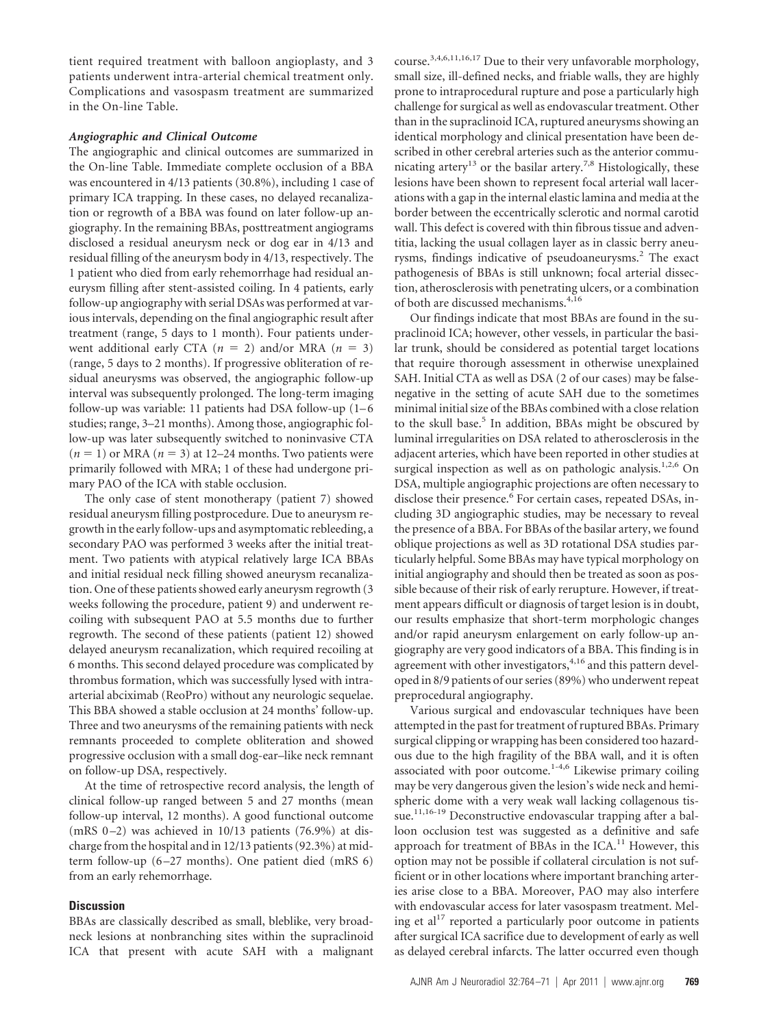tient required treatment with balloon angioplasty, and 3 patients underwent intra-arterial chemical treatment only. Complications and vasospasm treatment are summarized in the On-line Table.

## *Angiographic and Clinical Outcome*

The angiographic and clinical outcomes are summarized in the On-line Table. Immediate complete occlusion of a BBA was encountered in 4/13 patients (30.8%), including 1 case of primary ICA trapping. In these cases, no delayed recanalization or regrowth of a BBA was found on later follow-up angiography. In the remaining BBAs, posttreatment angiograms disclosed a residual aneurysm neck or dog ear in 4/13 and residual filling of the aneurysm body in 4/13, respectively. The 1 patient who died from early rehemorrhage had residual aneurysm filling after stent-assisted coiling. In 4 patients, early follow-up angiography with serial DSAs was performed at various intervals, depending on the final angiographic result after treatment (range, 5 days to 1 month). Four patients underwent additional early CTA  $(n = 2)$  and/or MRA  $(n = 3)$ (range, 5 days to 2 months). If progressive obliteration of residual aneurysms was observed, the angiographic follow-up interval was subsequently prolonged. The long-term imaging follow-up was variable: 11 patients had DSA follow-up (1–6 studies; range, 3–21 months). Among those, angiographic follow-up was later subsequently switched to noninvasive CTA  $(n = 1)$  or MRA  $(n = 3)$  at 12–24 months. Two patients were primarily followed with MRA; 1 of these had undergone primary PAO of the ICA with stable occlusion.

The only case of stent monotherapy (patient 7) showed residual aneurysm filling postprocedure. Due to aneurysm regrowth in the early follow-ups and asymptomatic rebleeding, a secondary PAO was performed 3 weeks after the initial treatment. Two patients with atypical relatively large ICA BBAs and initial residual neck filling showed aneurysm recanalization. One of these patients showed early aneurysm regrowth (3 weeks following the procedure, patient 9) and underwent recoiling with subsequent PAO at 5.5 months due to further regrowth. The second of these patients (patient 12) showed delayed aneurysm recanalization, which required recoiling at 6 months. This second delayed procedure was complicated by thrombus formation, which was successfully lysed with intraarterial abciximab (ReoPro) without any neurologic sequelae. This BBA showed a stable occlusion at 24 months' follow-up. Three and two aneurysms of the remaining patients with neck remnants proceeded to complete obliteration and showed progressive occlusion with a small dog-ear–like neck remnant on follow-up DSA, respectively.

At the time of retrospective record analysis, the length of clinical follow-up ranged between 5 and 27 months (mean follow-up interval, 12 months). A good functional outcome  $(mRS 0-2)$  was achieved in 10/13 patients  $(76.9%)$  at discharge from the hospital and in 12/13 patients (92.3%) at midterm follow-up (6-27 months). One patient died (mRS 6) from an early rehemorrhage.

#### **Discussion**

BBAs are classically described as small, bleblike, very broadneck lesions at nonbranching sites within the supraclinoid ICA that present with acute SAH with a malignant course.3,4,6,11,16,17 Due to their very unfavorable morphology, small size, ill-defined necks, and friable walls, they are highly prone to intraprocedural rupture and pose a particularly high challenge for surgical as well as endovascular treatment. Other than in the supraclinoid ICA, ruptured aneurysms showing an identical morphology and clinical presentation have been described in other cerebral arteries such as the anterior communicating artery<sup>13</sup> or the basilar artery.<sup>7,8</sup> Histologically, these lesions have been shown to represent focal arterial wall lacerations with a gap in the internal elastic lamina and media at the border between the eccentrically sclerotic and normal carotid wall. This defect is covered with thin fibrous tissue and adventitia, lacking the usual collagen layer as in classic berry aneurysms, findings indicative of pseudoaneurysms.<sup>2</sup> The exact pathogenesis of BBAs is still unknown; focal arterial dissection, atherosclerosis with penetrating ulcers, or a combination of both are discussed mechanisms.<sup>4,16</sup>

Our findings indicate that most BBAs are found in the supraclinoid ICA; however, other vessels, in particular the basilar trunk, should be considered as potential target locations that require thorough assessment in otherwise unexplained SAH. Initial CTA as well as DSA (2 of our cases) may be falsenegative in the setting of acute SAH due to the sometimes minimal initial size of the BBAs combined with a close relation to the skull base.<sup>5</sup> In addition, BBAs might be obscured by luminal irregularities on DSA related to atherosclerosis in the adjacent arteries, which have been reported in other studies at surgical inspection as well as on pathologic analysis.<sup>1,2,6</sup> On DSA, multiple angiographic projections are often necessary to disclose their presence.<sup>6</sup> For certain cases, repeated DSAs, including 3D angiographic studies, may be necessary to reveal the presence of a BBA. For BBAs of the basilar artery, we found oblique projections as well as 3D rotational DSA studies particularly helpful. Some BBAs may have typical morphology on initial angiography and should then be treated as soon as possible because of their risk of early rerupture. However, if treatment appears difficult or diagnosis of target lesion is in doubt, our results emphasize that short-term morphologic changes and/or rapid aneurysm enlargement on early follow-up angiography are very good indicators of a BBA. This finding is in agreement with other investigators,<sup>4,16</sup> and this pattern developed in 8/9 patients of our series (89%) who underwent repeat preprocedural angiography.

Various surgical and endovascular techniques have been attempted in the past for treatment of ruptured BBAs. Primary surgical clipping or wrapping has been considered too hazardous due to the high fragility of the BBA wall, and it is often associated with poor outcome. $1-4,6$  Likewise primary coiling may be very dangerous given the lesion's wide neck and hemispheric dome with a very weak wall lacking collagenous tissue.<sup>11,16-19</sup> Deconstructive endovascular trapping after a balloon occlusion test was suggested as a definitive and safe approach for treatment of BBAs in the  $ICA<sup>11</sup>$  However, this option may not be possible if collateral circulation is not sufficient or in other locations where important branching arteries arise close to a BBA. Moreover, PAO may also interfere with endovascular access for later vasospasm treatment. Meling et al<sup>17</sup> reported a particularly poor outcome in patients after surgical ICA sacrifice due to development of early as well as delayed cerebral infarcts. The latter occurred even though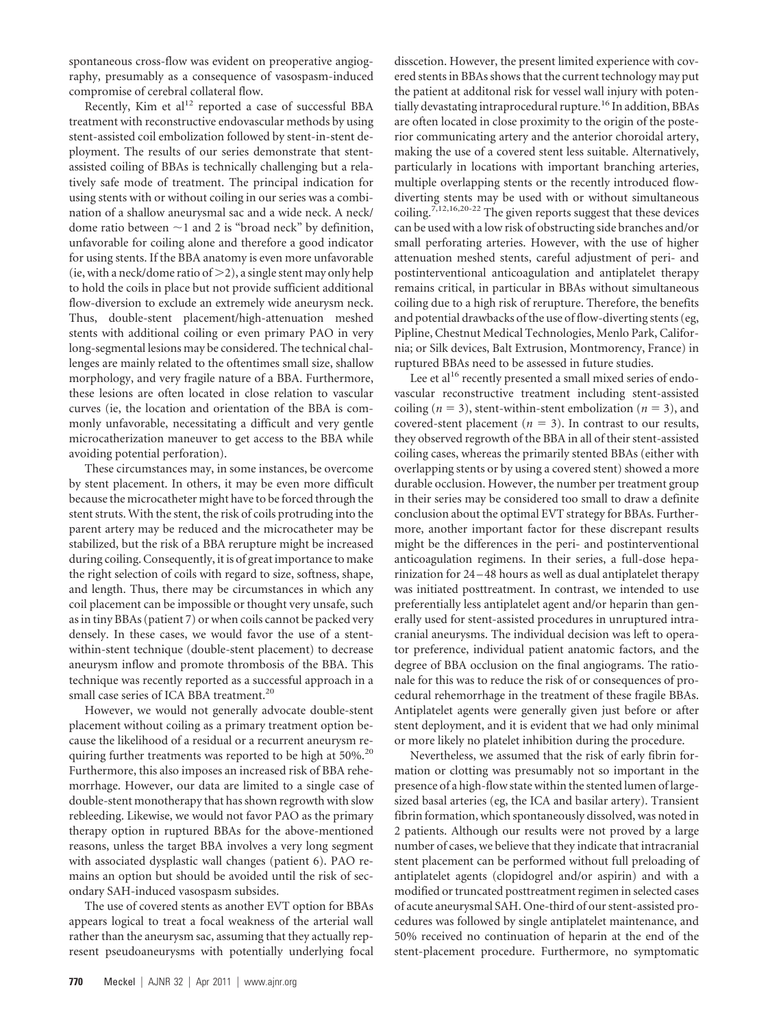spontaneous cross-flow was evident on preoperative angiography, presumably as a consequence of vasospasm-induced compromise of cerebral collateral flow.

Recently, Kim et al<sup>12</sup> reported a case of successful BBA treatment with reconstructive endovascular methods by using stent-assisted coil embolization followed by stent-in-stent deployment. The results of our series demonstrate that stentassisted coiling of BBAs is technically challenging but a relatively safe mode of treatment. The principal indication for using stents with or without coiling in our series was a combination of a shallow aneurysmal sac and a wide neck. A neck/ dome ratio between  $\sim$ 1 and 2 is "broad neck" by definition, unfavorable for coiling alone and therefore a good indicator for using stents. If the BBA anatomy is even more unfavorable (ie, with a neck/dome ratio of  $\geq$ 2), a single stent may only help to hold the coils in place but not provide sufficient additional flow-diversion to exclude an extremely wide aneurysm neck. Thus, double-stent placement/high-attenuation meshed stents with additional coiling or even primary PAO in very long-segmental lesions may be considered. The technical challenges are mainly related to the oftentimes small size, shallow morphology, and very fragile nature of a BBA. Furthermore, these lesions are often located in close relation to vascular curves (ie, the location and orientation of the BBA is commonly unfavorable, necessitating a difficult and very gentle microcatherization maneuver to get access to the BBA while avoiding potential perforation).

These circumstances may, in some instances, be overcome by stent placement. In others, it may be even more difficult because the microcatheter might have to be forced through the stent struts. With the stent, the risk of coils protruding into the parent artery may be reduced and the microcatheter may be stabilized, but the risk of a BBA rerupture might be increased during coiling. Consequently, it is of great importance to make the right selection of coils with regard to size, softness, shape, and length. Thus, there may be circumstances in which any coil placement can be impossible or thought very unsafe, such as in tiny BBAs (patient 7) or when coils cannot be packed very densely. In these cases, we would favor the use of a stentwithin-stent technique (double-stent placement) to decrease aneurysm inflow and promote thrombosis of the BBA. This technique was recently reported as a successful approach in a small case series of ICA BBA treatment.<sup>20</sup>

However, we would not generally advocate double-stent placement without coiling as a primary treatment option because the likelihood of a residual or a recurrent aneurysm requiring further treatments was reported to be high at 50%.<sup>20</sup> Furthermore, this also imposes an increased risk of BBA rehemorrhage. However, our data are limited to a single case of double-stent monotherapy that has shown regrowth with slow rebleeding. Likewise, we would not favor PAO as the primary therapy option in ruptured BBAs for the above-mentioned reasons, unless the target BBA involves a very long segment with associated dysplastic wall changes (patient 6). PAO remains an option but should be avoided until the risk of secondary SAH-induced vasospasm subsides.

The use of covered stents as another EVT option for BBAs appears logical to treat a focal weakness of the arterial wall rather than the aneurysm sac, assuming that they actually represent pseudoaneurysms with potentially underlying focal disscetion. However, the present limited experience with covered stents in BBAs shows that the current technology may put the patient at additonal risk for vessel wall injury with potentially devastating intraprocedural rupture.<sup>16</sup> In addition, BBAs are often located in close proximity to the origin of the posterior communicating artery and the anterior choroidal artery, making the use of a covered stent less suitable. Alternatively, particularly in locations with important branching arteries, multiple overlapping stents or the recently introduced flowdiverting stents may be used with or without simultaneous coiling.7,12,16,20-22 The given reports suggest that these devices can be used with a low risk of obstructing side branches and/or small perforating arteries. However, with the use of higher attenuation meshed stents, careful adjustment of peri- and postinterventional anticoagulation and antiplatelet therapy remains critical, in particular in BBAs without simultaneous coiling due to a high risk of rerupture. Therefore, the benefits and potential drawbacks of the use of flow-diverting stents (eg, Pipline, Chestnut Medical Technologies, Menlo Park, California; or Silk devices, Balt Extrusion, Montmorency, France) in ruptured BBAs need to be assessed in future studies.

Lee et al<sup>16</sup> recently presented a small mixed series of endovascular reconstructive treatment including stent-assisted coiling  $(n = 3)$ , stent-within-stent embolization  $(n = 3)$ , and covered-stent placement ( $n = 3$ ). In contrast to our results, they observed regrowth of the BBA in all of their stent-assisted coiling cases, whereas the primarily stented BBAs (either with overlapping stents or by using a covered stent) showed a more durable occlusion. However, the number per treatment group in their series may be considered too small to draw a definite conclusion about the optimal EVT strategy for BBAs. Furthermore, another important factor for these discrepant results might be the differences in the peri- and postinterventional anticoagulation regimens. In their series, a full-dose heparinization for 24 –48 hours as well as dual antiplatelet therapy was initiated posttreatment. In contrast, we intended to use preferentially less antiplatelet agent and/or heparin than generally used for stent-assisted procedures in unruptured intracranial aneurysms. The individual decision was left to operator preference, individual patient anatomic factors, and the degree of BBA occlusion on the final angiograms. The rationale for this was to reduce the risk of or consequences of procedural rehemorrhage in the treatment of these fragile BBAs. Antiplatelet agents were generally given just before or after stent deployment, and it is evident that we had only minimal or more likely no platelet inhibition during the procedure.

Nevertheless, we assumed that the risk of early fibrin formation or clotting was presumably not so important in the presence of a high-flow state within the stented lumen of largesized basal arteries (eg, the ICA and basilar artery). Transient fibrin formation, which spontaneously dissolved, was noted in 2 patients. Although our results were not proved by a large number of cases, we believe that they indicate that intracranial stent placement can be performed without full preloading of antiplatelet agents (clopidogrel and/or aspirin) and with a modified or truncated posttreatment regimen in selected cases of acute aneurysmal SAH. One-third of our stent-assisted procedures was followed by single antiplatelet maintenance, and 50% received no continuation of heparin at the end of the stent-placement procedure. Furthermore, no symptomatic